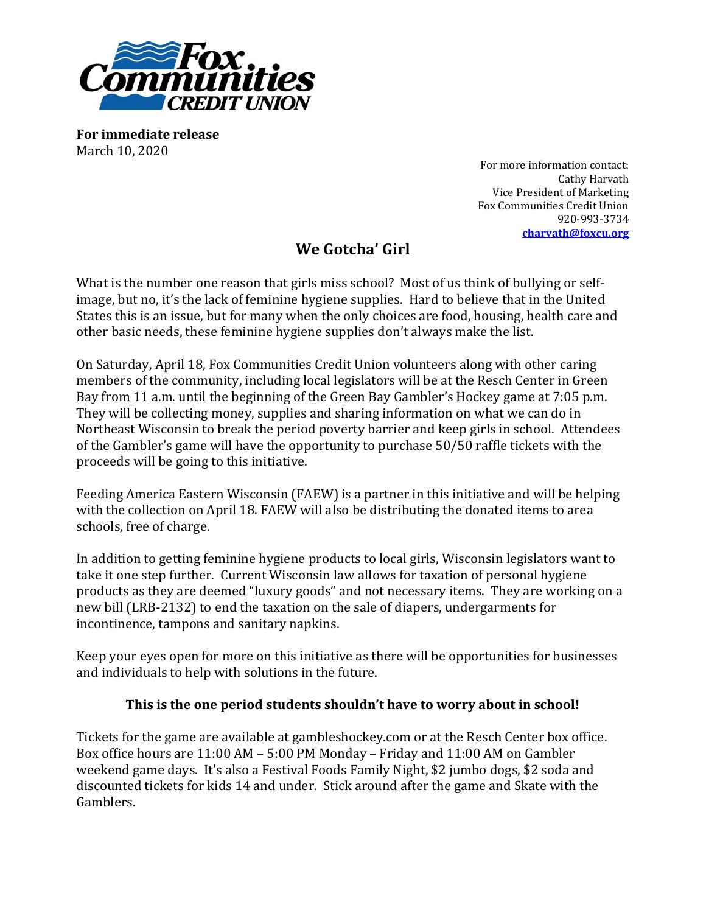

**For immediate release** March 10, 2020

For more information contact: Cathy Harvath Vice President of Marketing Fox Communities Credit Union 920-993-3734 **[charvath@foxcu.org](mailto:lhopfensperger@foxcu.org)**

## **We Gotcha' Girl**

What is the number one reason that girls miss school? Most of us think of bullying or selfimage, but no, it's the lack of feminine hygiene supplies. Hard to believe that in the United States this is an issue, but for many when the only choices are food, housing, health care and other basic needs, these feminine hygiene supplies don't always make the list.

On Saturday, April 18, Fox Communities Credit Union volunteers along with other caring members of the community, including local legislators will be at the Resch Center in Green Bay from 11 a.m. until the beginning of the Green Bay Gambler's Hockey game at 7:05 p.m. They will be collecting money, supplies and sharing information on what we can do in Northeast Wisconsin to break the period poverty barrier and keep girls in school. Attendees of the Gambler's game will have the opportunity to purchase 50/50 raffle tickets with the proceeds will be going to this initiative.

Feeding America Eastern Wisconsin (FAEW) is a partner in this initiative and will be helping with the collection on April 18. FAEW will also be distributing the donated items to area schools, free of charge.

In addition to getting feminine hygiene products to local girls, Wisconsin legislators want to take it one step further. Current Wisconsin law allows for taxation of personal hygiene products as they are deemed "luxury goods" and not necessary items. They are working on a new bill (LRB-2132) to end the taxation on the sale of diapers, undergarments for incontinence, tampons and sanitary napkins.

Keep your eyes open for more on this initiative as there will be opportunities for businesses and individuals to help with solutions in the future.

## **This is the one period students shouldn't have to worry about in school!**

Tickets for the game are available at gambleshockey.com or at the Resch Center box office. Box office hours are 11:00 AM – 5:00 PM Monday – Friday and 11:00 AM on Gambler weekend game days. It's also a Festival Foods Family Night, \$2 jumbo dogs, \$2 soda and discounted tickets for kids 14 and under. Stick around after the game and Skate with the Gamblers.